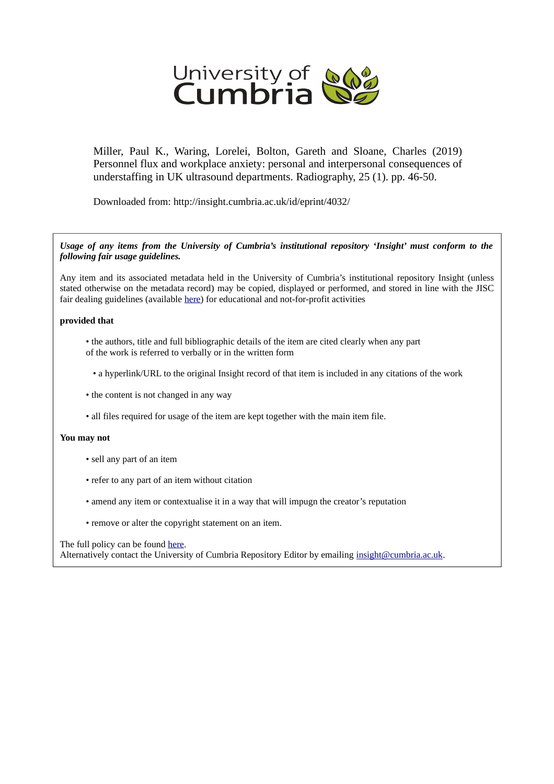

Miller, Paul K., Waring, Lorelei, Bolton, Gareth and Sloane, Charles (2019) Personnel flux and workplace anxiety: personal and interpersonal consequences of understaffing in UK ultrasound departments. Radiography, 25 (1). pp. 46-50.

Downloaded from: http://insight.cumbria.ac.uk/id/eprint/4032/

*Usage of any items from the University of Cumbria's institutional repository 'Insight' must conform to the following fair usage guidelines.*

Any item and its associated metadata held in the University of Cumbria's institutional repository Insight (unless stated otherwise on the metadata record) may be copied, displayed or performed, and stored in line with the JISC fair dealing guidelines (available [here\)](http://www.ukoln.ac.uk/services/elib/papers/pa/fair/) for educational and not-for-profit activities

#### **provided that**

- the authors, title and full bibliographic details of the item are cited clearly when any part of the work is referred to verbally or in the written form
	- a hyperlink/URL to the original Insight record of that item is included in any citations of the work
- the content is not changed in any way
- all files required for usage of the item are kept together with the main item file.

#### **You may not**

- sell any part of an item
- refer to any part of an item without citation
- amend any item or contextualise it in a way that will impugn the creator's reputation
- remove or alter the copyright statement on an item.

#### The full policy can be found [here.](http://insight.cumbria.ac.uk/legal.html#section5)

Alternatively contact the University of Cumbria Repository Editor by emailing [insight@cumbria.ac.uk.](mailto:insight@cumbria.ac.uk)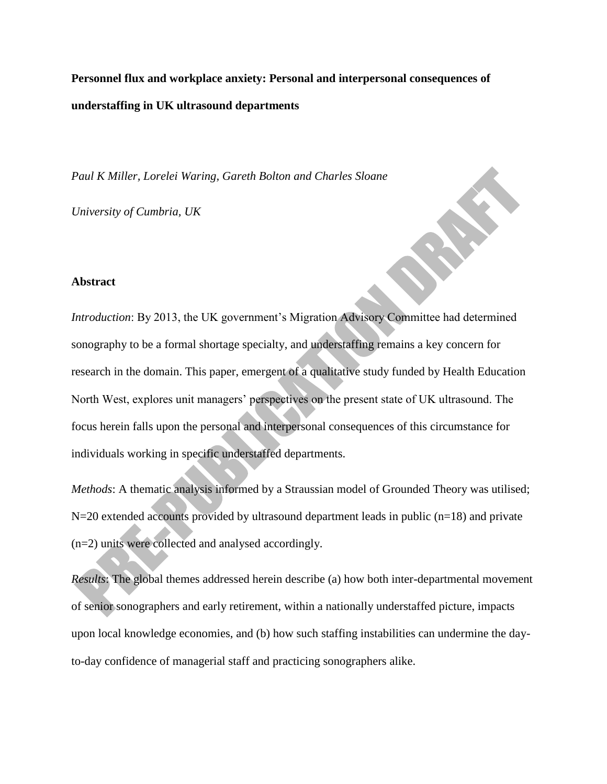**Personnel flux and workplace anxiety: Personal and interpersonal consequences of understaffing in UK ultrasound departments**

*Paul K Miller, Lorelei Waring, Gareth Bolton and Charles Sloane*

*University of Cumbria, UK*

## **Abstract**

*Introduction*: By 2013, the UK government's Migration Advisory Committee had determined sonography to be a formal shortage specialty, and understaffing remains a key concern for research in the domain. This paper, emergent of a qualitative study funded by Health Education North West, explores unit managers' perspectives on the present state of UK ultrasound. The focus herein falls upon the personal and interpersonal consequences of this circumstance for individuals working in specific understaffed departments.

*Methods*: A thematic analysis informed by a Straussian model of Grounded Theory was utilised;  $N=20$  extended accounts provided by ultrasound department leads in public (n=18) and private (n=2) units were collected and analysed accordingly.

*Results*: The global themes addressed herein describe (a) how both inter-departmental movement of senior sonographers and early retirement, within a nationally understaffed picture, impacts upon local knowledge economies, and (b) how such staffing instabilities can undermine the dayto-day confidence of managerial staff and practicing sonographers alike.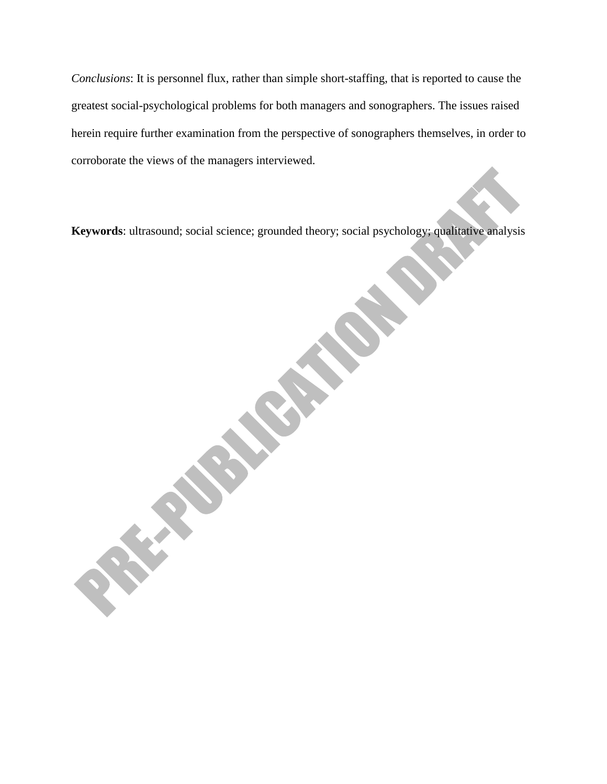*Conclusions*: It is personnel flux, rather than simple short-staffing, that is reported to cause the greatest social-psychological problems for both managers and sonographers. The issues raised herein require further examination from the perspective of sonographers themselves, in order to corroborate the views of the managers interviewed.

**Keywords**: ultrasound; social science; grounded theory; social psychology; qualitative analysis

**CONSTRUCTION**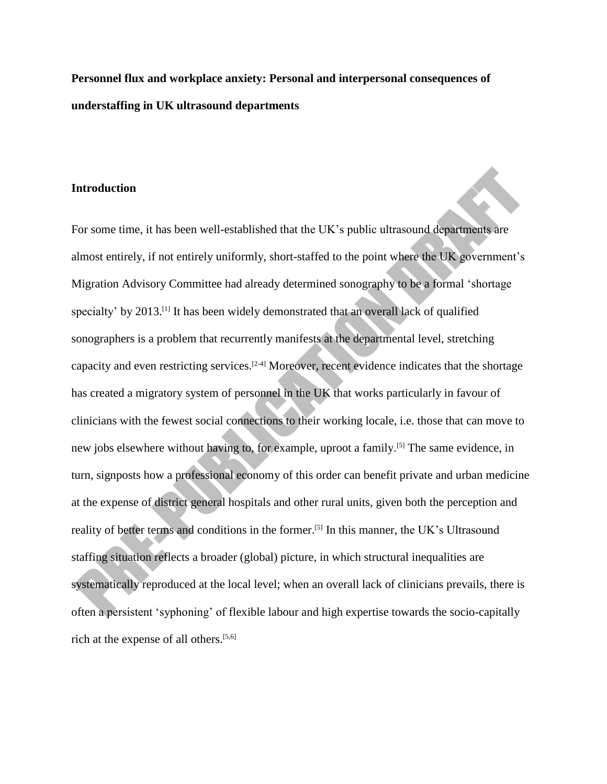**Personnel flux and workplace anxiety: Personal and interpersonal consequences of understaffing in UK ultrasound departments** 

## **Introduction**

For some time, it has been well-established that the UK's public ultrasound departments are almost entirely, if not entirely uniformly, short-staffed to the point where the UK government's Migration Advisory Committee had already determined sonography to be a formal 'shortage specialty' by 2013.<sup>[1]</sup> It has been widely demonstrated that an overall lack of qualified sonographers is a problem that recurrently manifests at the departmental level, stretching capacity and even restricting services.[2-4] Moreover, recent evidence indicates that the shortage has created a migratory system of personnel in the UK that works particularly in favour of clinicians with the fewest social connections to their working locale, i.e. those that can move to new jobs elsewhere without having to, for example, uproot a family.<sup>[5]</sup> The same evidence, in turn, signposts how a professional economy of this order can benefit private and urban medicine at the expense of district general hospitals and other rural units, given both the perception and reality of better terms and conditions in the former.<sup>[5]</sup> In this manner, the UK's Ultrasound staffing situation reflects a broader (global) picture, in which structural inequalities are systematically reproduced at the local level; when an overall lack of clinicians prevails, there is often a persistent 'syphoning' of flexible labour and high expertise towards the socio-capitally rich at the expense of all others. [5,6]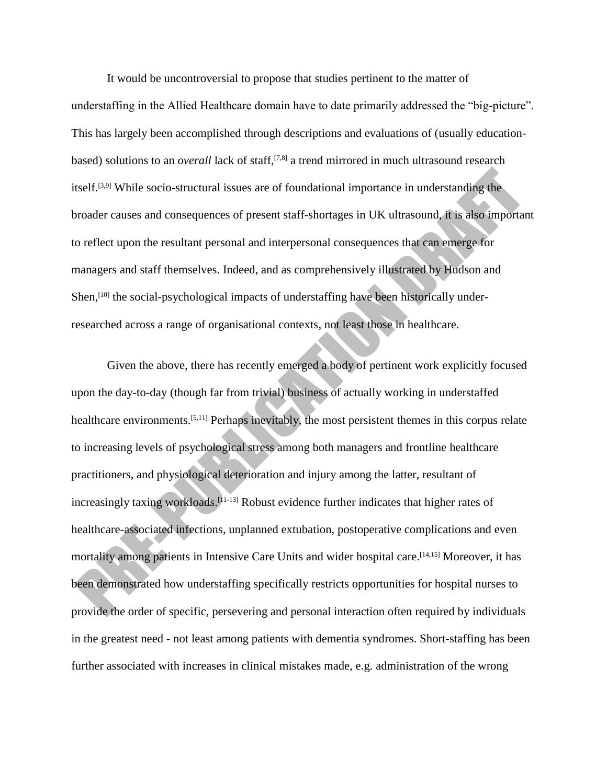It would be uncontroversial to propose that studies pertinent to the matter of understaffing in the Allied Healthcare domain have to date primarily addressed the "big-picture". This has largely been accomplished through descriptions and evaluations of (usually educationbased) solutions to an *overall* lack of staff,<sup>[7,8]</sup> a trend mirrored in much ultrasound research itself.[3,9] While socio-structural issues are of foundational importance in understanding the broader causes and consequences of present staff-shortages in UK ultrasound, it is also important to reflect upon the resultant personal and interpersonal consequences that can emerge for managers and staff themselves. Indeed, and as comprehensively illustrated by Hudson and Shen,<sup>[10]</sup> the social-psychological impacts of understaffing have been historically underresearched across a range of organisational contexts, not least those in healthcare.

Given the above, there has recently emerged a body of pertinent work explicitly focused upon the day-to-day (though far from trivial) business of actually working in understaffed healthcare environments.<sup>[5,11]</sup> Perhaps inevitably, the most persistent themes in this corpus relate to increasing levels of psychological stress among both managers and frontline healthcare practitioners, and physiological deterioration and injury among the latter, resultant of increasingly taxing workloads. [11-13] Robust evidence further indicates that higher rates of healthcare-associated infections, unplanned extubation, postoperative complications and even mortality among patients in Intensive Care Units and wider hospital care. [14,15] Moreover, it has been demonstrated how understaffing specifically restricts opportunities for hospital nurses to provide the order of specific, persevering and personal interaction often required by individuals in the greatest need - not least among patients with dementia syndromes. Short-staffing has been further associated with increases in clinical mistakes made, e.g. administration of the wrong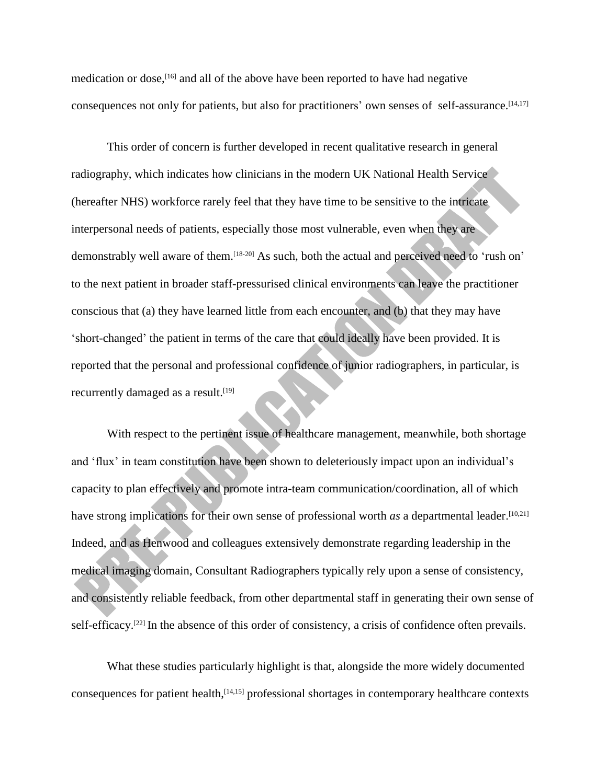medication or dose, [16] and all of the above have been reported to have had negative consequences not only for patients, but also for practitioners' own senses of self-assurance. [14,17]

This order of concern is further developed in recent qualitative research in general radiography, which indicates how clinicians in the modern UK National Health Service (hereafter NHS) workforce rarely feel that they have time to be sensitive to the intricate interpersonal needs of patients, especially those most vulnerable, even when they are demonstrably well aware of them.<sup>[18-20]</sup> As such, both the actual and perceived need to 'rush on' to the next patient in broader staff-pressurised clinical environments can leave the practitioner conscious that (a) they have learned little from each encounter, and (b) that they may have 'short-changed' the patient in terms of the care that could ideally have been provided. It is reported that the personal and professional confidence of junior radiographers, in particular, is recurrently damaged as a result.<sup>[19]</sup>

With respect to the pertinent issue of healthcare management, meanwhile, both shortage and 'flux' in team constitution have been shown to deleteriously impact upon an individual's capacity to plan effectively and promote intra-team communication/coordination, all of which have strong implications for their own sense of professional worth *as* a departmental leader.<sup>[10,21]</sup> Indeed, and as Henwood and colleagues extensively demonstrate regarding leadership in the medical imaging domain, Consultant Radiographers typically rely upon a sense of consistency, and consistently reliable feedback, from other departmental staff in generating their own sense of self-efficacy.<sup>[22]</sup> In the absence of this order of consistency, a crisis of confidence often prevails.

What these studies particularly highlight is that, alongside the more widely documented consequences for patient health, [14,15] professional shortages in contemporary healthcare contexts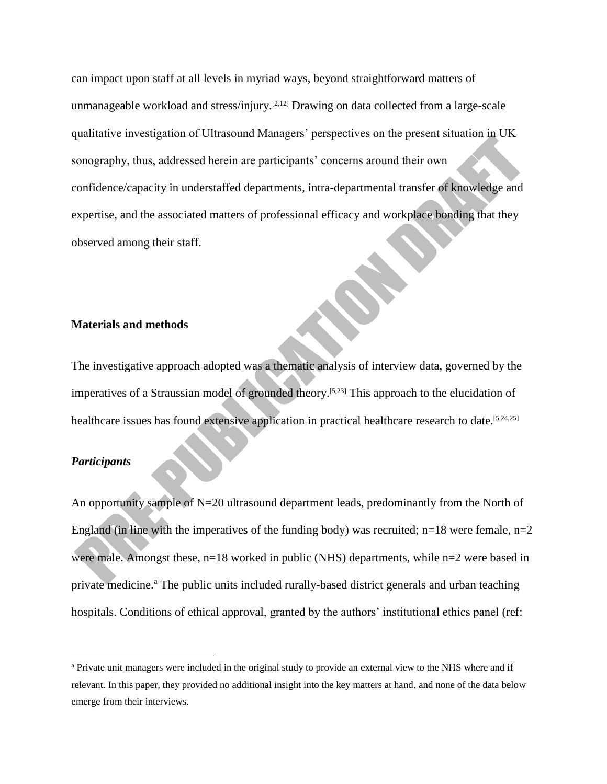can impact upon staff at all levels in myriad ways, beyond straightforward matters of unmanageable workload and stress/injury.<sup>[2,12]</sup> Drawing on data collected from a large-scale qualitative investigation of Ultrasound Managers' perspectives on the present situation in UK sonography, thus, addressed herein are participants' concerns around their own confidence/capacity in understaffed departments, intra-departmental transfer of knowledge and expertise, and the associated matters of professional efficacy and workplace bonding that they observed among their staff.

#### **Materials and methods**

The investigative approach adopted was a thematic analysis of interview data, governed by the imperatives of a Straussian model of grounded theory.<sup>[5,23]</sup> This approach to the elucidation of healthcare issues has found extensive application in practical healthcare research to date.<sup>[5,24,25]</sup>

# *Participants*

 $\overline{\phantom{a}}$ 

An opportunity sample of N=20 ultrasound department leads, predominantly from the North of England (in line with the imperatives of the funding body) was recruited;  $n=18$  were female,  $n=2$ were male. Amongst these, n=18 worked in public (NHS) departments, while n=2 were based in private medicine.<sup>a</sup> The public units included rurally-based district generals and urban teaching hospitals. Conditions of ethical approval, granted by the authors' institutional ethics panel (ref:

<sup>a</sup> Private unit managers were included in the original study to provide an external view to the NHS where and if relevant. In this paper, they provided no additional insight into the key matters at hand, and none of the data below emerge from their interviews.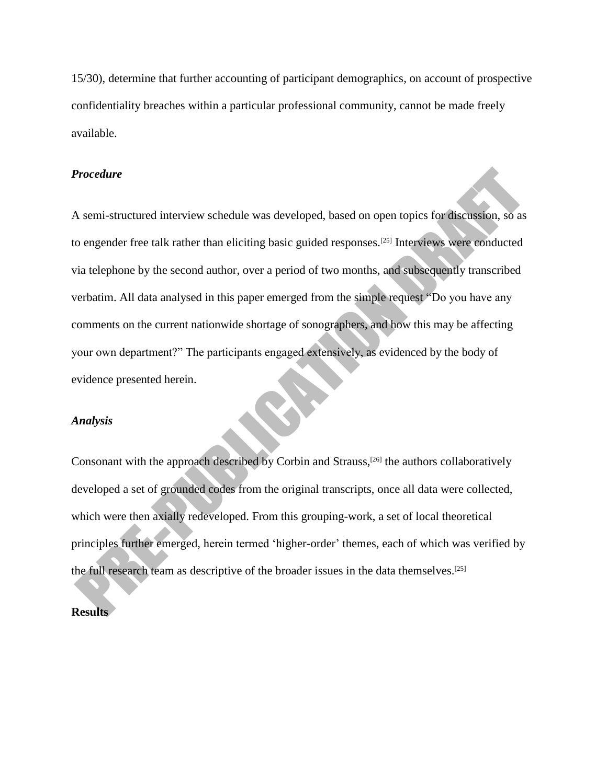15/30), determine that further accounting of participant demographics, on account of prospective confidentiality breaches within a particular professional community, cannot be made freely available.

# *Procedure*

A semi-structured interview schedule was developed, based on open topics for discussion, so as to engender free talk rather than eliciting basic guided responses.<sup>[25]</sup> Interviews were conducted via telephone by the second author, over a period of two months, and subsequently transcribed verbatim. All data analysed in this paper emerged from the simple request "Do you have any comments on the current nationwide shortage of sonographers, and how this may be affecting your own department?" The participants engaged extensively, as evidenced by the body of evidence presented herein.

#### *Analysis*

Consonant with the approach described by Corbin and Strauss,<sup>[26]</sup> the authors collaboratively developed a set of grounded codes from the original transcripts, once all data were collected, which were then axially redeveloped. From this grouping-work, a set of local theoretical principles further emerged, herein termed 'higher-order' themes, each of which was verified by the full research team as descriptive of the broader issues in the data themselves. [25]

## **Results**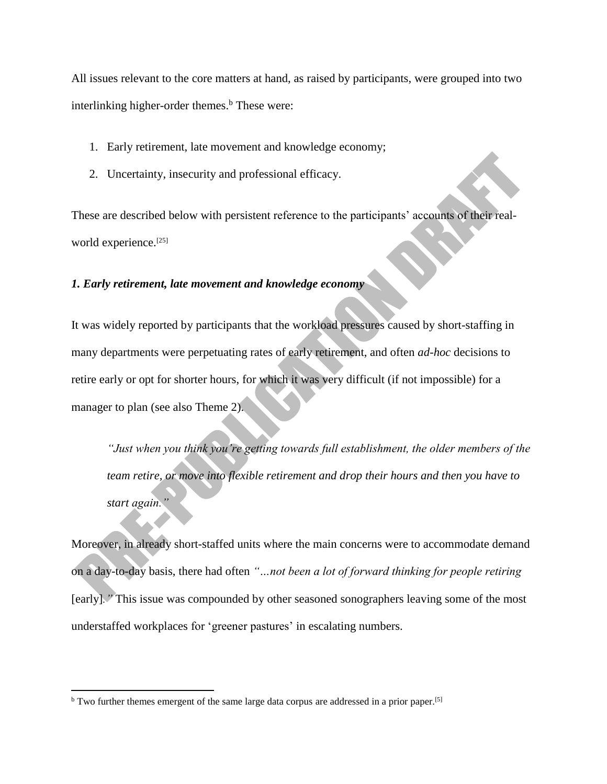All issues relevant to the core matters at hand, as raised by participants, were grouped into two interlinking higher-order themes. $<sup>b</sup>$  These were:</sup>

- 1. Early retirement, late movement and knowledge economy;
- 2. Uncertainty, insecurity and professional efficacy.

These are described below with persistent reference to the participants' accounts of their realworld experience. [25]

# *1. Early retirement, late movement and knowledge economy*

It was widely reported by participants that the workload pressures caused by short-staffing in many departments were perpetuating rates of early retirement, and often *ad-hoc* decisions to retire early or opt for shorter hours, for which it was very difficult (if not impossible) for a manager to plan (see also Theme 2).

*"Just when you think you're getting towards full establishment, the older members of the team retire, or move into flexible retirement and drop their hours and then you have to start again."*

Moreover, in already short-staffed units where the main concerns were to accommodate demand on a day-to-day basis, there had often *"…not been a lot of forward thinking for people retiring* [early]*."* This issue was compounded by other seasoned sonographers leaving some of the most understaffed workplaces for 'greener pastures' in escalating numbers.

 $\overline{\phantom{a}}$ 

<sup>&</sup>lt;sup>b</sup> Two further themes emergent of the same large data corpus are addressed in a prior paper.<sup>[5]</sup>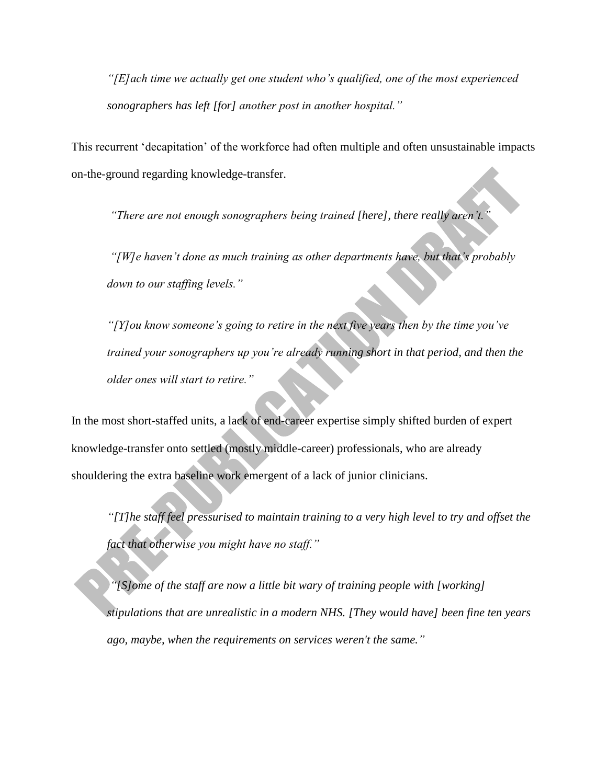*"[E]ach time we actually get one student who's qualified, one of the most experienced sonographers has left [for] another post in another hospital."* 

This recurrent 'decapitation' of the workforce had often multiple and often unsustainable impacts on-the-ground regarding knowledge-transfer.

*"There are not enough sonographers being trained [here], there really aren't."*

*"[W]e haven't done as much training as other departments have, but that's probably down to our staffing levels."*

*"[Y]ou know someone's going to retire in the next five years then by the time you've trained your sonographers up you're already running short in that period, and then the older ones will start to retire."* 

In the most short-staffed units, a lack of end-career expertise simply shifted burden of expert knowledge-transfer onto settled (mostly middle-career) professionals, who are already shouldering the extra baseline work emergent of a lack of junior clinicians.

*"[T]he staff feel pressurised to maintain training to a very high level to try and offset the fact that otherwise you might have no staff."* 

*"[S]ome of the staff are now a little bit wary of training people with [working] stipulations that are unrealistic in a modern NHS. [They would have] been fine ten years ago, maybe, when the requirements on services weren't the same."*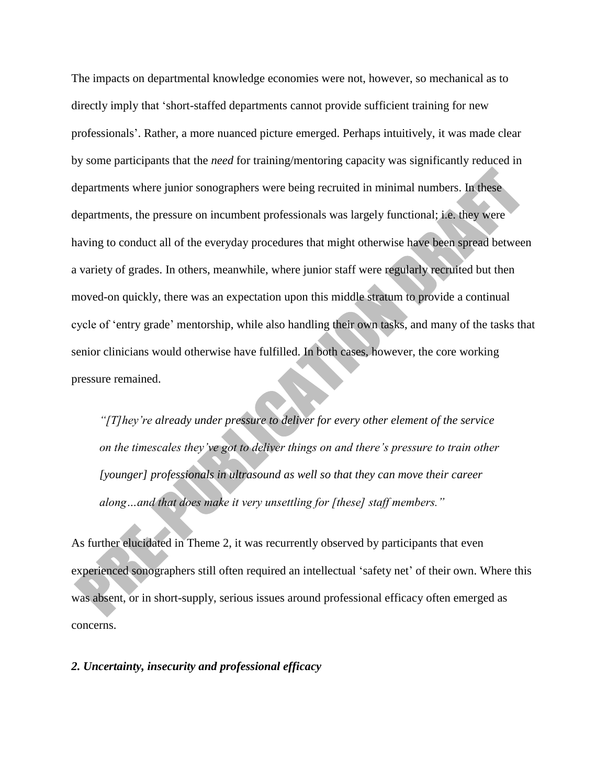The impacts on departmental knowledge economies were not, however, so mechanical as to directly imply that 'short-staffed departments cannot provide sufficient training for new professionals'. Rather, a more nuanced picture emerged. Perhaps intuitively, it was made clear by some participants that the *need* for training/mentoring capacity was significantly reduced in departments where junior sonographers were being recruited in minimal numbers. In these departments, the pressure on incumbent professionals was largely functional; i.e. they were having to conduct all of the everyday procedures that might otherwise have been spread between a variety of grades. In others, meanwhile, where junior staff were regularly recruited but then moved-on quickly, there was an expectation upon this middle stratum to provide a continual cycle of 'entry grade' mentorship, while also handling their own tasks, and many of the tasks that senior clinicians would otherwise have fulfilled. In both cases, however, the core working pressure remained.

*"[T]hey're already under pressure to deliver for every other element of the service on the timescales they've got to deliver things on and there's pressure to train other [younger] professionals in ultrasound as well so that they can move their career along…and that does make it very unsettling for [these] staff members."*

As further elucidated in Theme 2, it was recurrently observed by participants that even experienced sonographers still often required an intellectual 'safety net' of their own. Where this was absent, or in short-supply, serious issues around professional efficacy often emerged as concerns.

## *2. Uncertainty, insecurity and professional efficacy*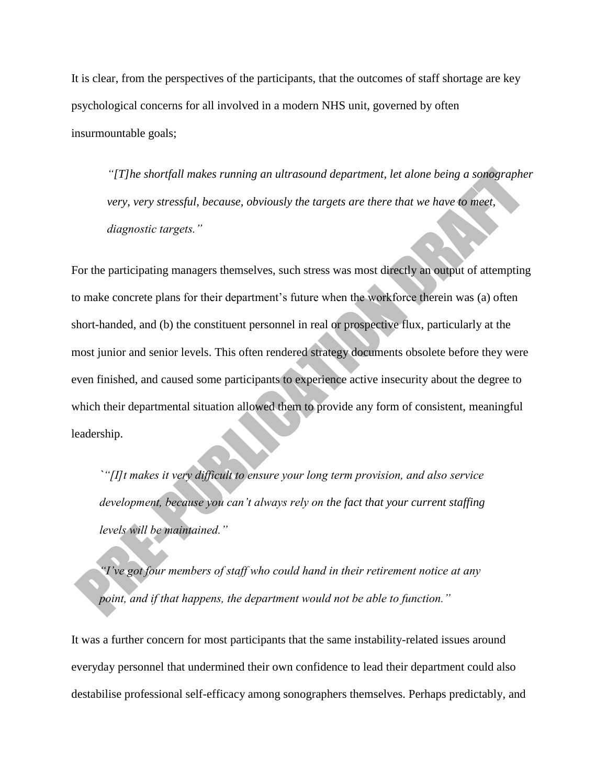It is clear, from the perspectives of the participants, that the outcomes of staff shortage are key psychological concerns for all involved in a modern NHS unit, governed by often insurmountable goals;

*"[T]he shortfall makes running an ultrasound department, let alone being a sonographer very, very stressful, because, obviously the targets are there that we have to meet, diagnostic targets."*

For the participating managers themselves, such stress was most directly an output of attempting to make concrete plans for their department's future when the workforce therein was (a) often short-handed, and (b) the constituent personnel in real or prospective flux, particularly at the most junior and senior levels. This often rendered strategy documents obsolete before they were even finished, and caused some participants to experience active insecurity about the degree to which their departmental situation allowed them to provide any form of consistent, meaningful leadership.

*`"[I]t makes it very difficult to ensure your long term provision, and also service development, because you can't always rely on the fact that your current staffing levels will be maintained."*

*"I've got four members of staff who could hand in their retirement notice at any point, and if that happens, the department would not be able to function."* 

It was a further concern for most participants that the same instability-related issues around everyday personnel that undermined their own confidence to lead their department could also destabilise professional self-efficacy among sonographers themselves. Perhaps predictably, and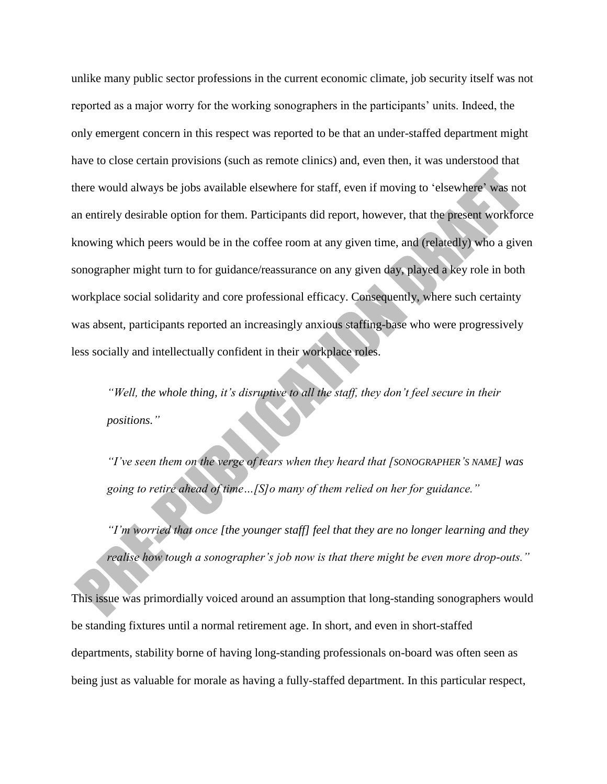unlike many public sector professions in the current economic climate, job security itself was not reported as a major worry for the working sonographers in the participants' units. Indeed, the only emergent concern in this respect was reported to be that an under-staffed department might have to close certain provisions (such as remote clinics) and, even then, it was understood that there would always be jobs available elsewhere for staff, even if moving to 'elsewhere' was not an entirely desirable option for them. Participants did report, however, that the present workforce knowing which peers would be in the coffee room at any given time, and (relatedly) who a given sonographer might turn to for guidance/reassurance on any given day, played a key role in both workplace social solidarity and core professional efficacy. Consequently, where such certainty was absent, participants reported an increasingly anxious staffing-base who were progressively less socially and intellectually confident in their workplace roles.

*"Well, the whole thing, it's disruptive to all the staff, they don't feel secure in their positions."*

*"I've seen them on the verge of tears when they heard that [SONOGRAPHER'S NAME] was going to retire ahead of time…[S]o many of them relied on her for guidance."*

*"I'm worried that once [the younger staff] feel that they are no longer learning and they realise how tough a sonographer's job now is that there might be even more drop-outs."*

This issue was primordially voiced around an assumption that long-standing sonographers would be standing fixtures until a normal retirement age. In short, and even in short-staffed departments, stability borne of having long-standing professionals on-board was often seen as being just as valuable for morale as having a fully-staffed department. In this particular respect,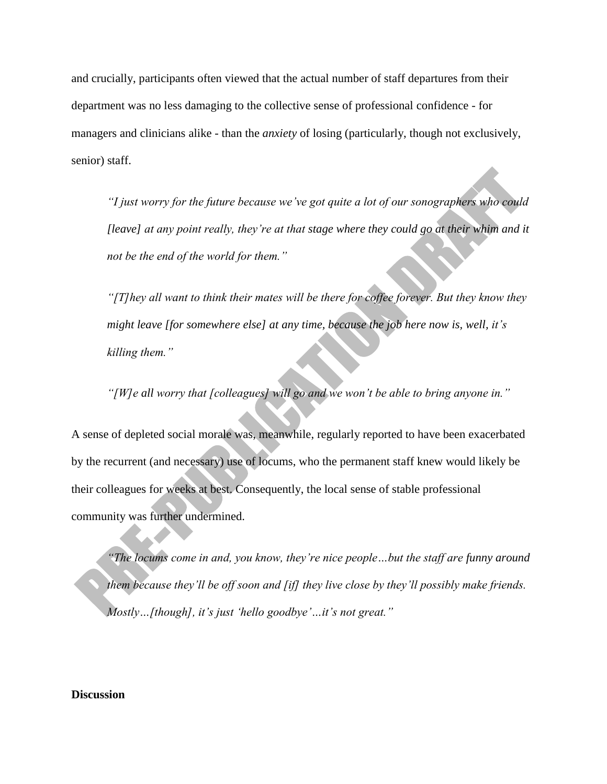and crucially, participants often viewed that the actual number of staff departures from their department was no less damaging to the collective sense of professional confidence - for managers and clinicians alike - than the *anxiety* of losing (particularly, though not exclusively, senior) staff.

*"I just worry for the future because we've got quite a lot of our sonographers who could [leave] at any point really, they're at that stage where they could go at their whim and it not be the end of the world for them."*

*"[T]hey all want to think their mates will be there for coffee forever. But they know they might leave [for somewhere else] at any time, because the job here now is, well, it's killing them."*

*"[W]e all worry that [colleagues] will go and we won't be able to bring anyone in."*

A sense of depleted social morale was, meanwhile, regularly reported to have been exacerbated by the recurrent (and necessary) use of locums, who the permanent staff knew would likely be their colleagues for weeks at best. Consequently, the local sense of stable professional community was further undermined.

*"The locums come in and, you know, they're nice people…but the staff are funny around them because they'll be off soon and [if] they live close by they'll possibly make friends. Mostly…[though], it's just 'hello goodbye'…it's not great."* 

## **Discussion**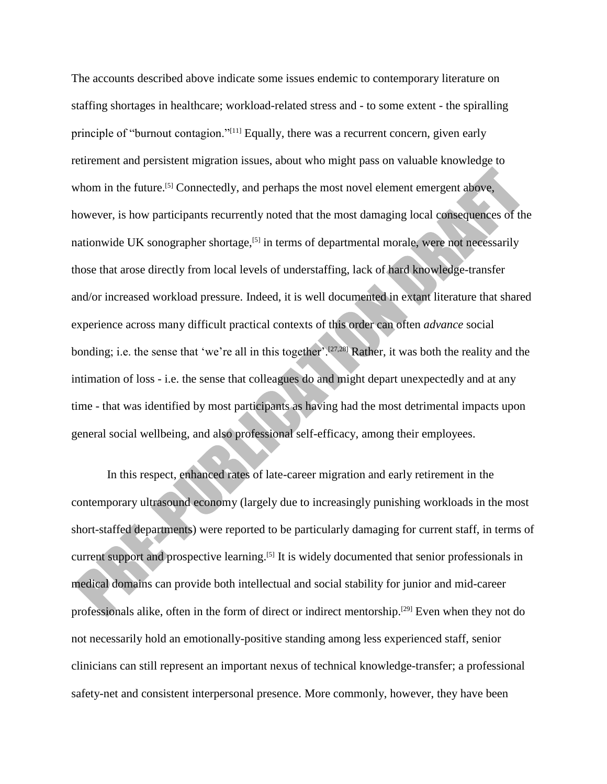The accounts described above indicate some issues endemic to contemporary literature on staffing shortages in healthcare; workload-related stress and - to some extent - the spiralling principle of "burnout contagion."[11] Equally, there was a recurrent concern, given early retirement and persistent migration issues, about who might pass on valuable knowledge to whom in the future.<sup>[5]</sup> Connectedly, and perhaps the most novel element emergent above, however, is how participants recurrently noted that the most damaging local consequences of the nationwide UK sonographer shortage,<sup>[5]</sup> in terms of departmental morale, were not necessarily those that arose directly from local levels of understaffing, lack of hard knowledge-transfer and/or increased workload pressure. Indeed, it is well documented in extant literature that shared experience across many difficult practical contexts of this order can often *advance* social bonding; i.e. the sense that 'we're all in this together'.[27,28] Rather, it was both the reality and the intimation of loss - i.e. the sense that colleagues do and might depart unexpectedly and at any time - that was identified by most participants as having had the most detrimental impacts upon general social wellbeing, and also professional self-efficacy, among their employees.

In this respect, enhanced rates of late-career migration and early retirement in the contemporary ultrasound economy (largely due to increasingly punishing workloads in the most short-staffed departments) were reported to be particularly damaging for current staff, in terms of current support and prospective learning.<sup>[5]</sup> It is widely documented that senior professionals in medical domains can provide both intellectual and social stability for junior and mid-career professionals alike, often in the form of direct or indirect mentorship.<sup>[29]</sup> Even when they not do not necessarily hold an emotionally-positive standing among less experienced staff, senior clinicians can still represent an important nexus of technical knowledge-transfer; a professional safety-net and consistent interpersonal presence. More commonly, however, they have been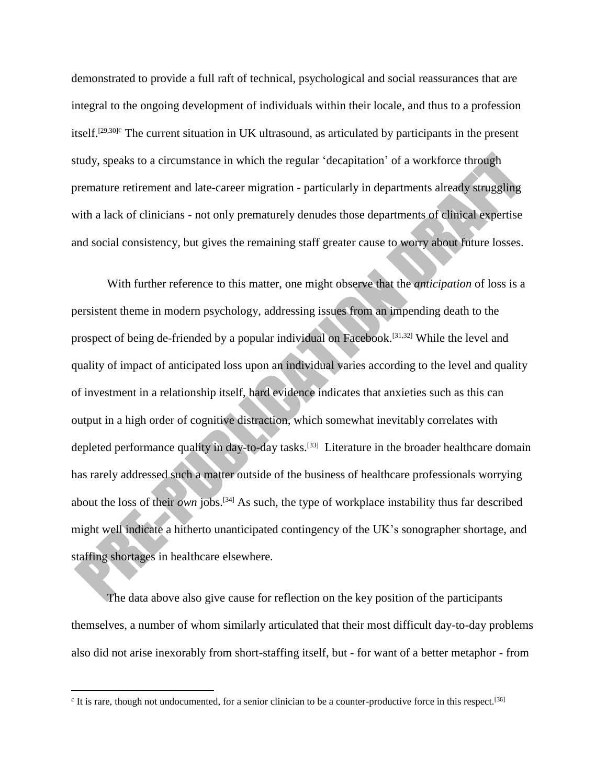demonstrated to provide a full raft of technical, psychological and social reassurances that are integral to the ongoing development of individuals within their locale, and thus to a profession itself.<sup>[29,30]c</sup> The current situation in UK ultrasound, as articulated by participants in the present study, speaks to a circumstance in which the regular 'decapitation' of a workforce through premature retirement and late-career migration - particularly in departments already struggling with a lack of clinicians - not only prematurely denudes those departments of clinical expertise and social consistency, but gives the remaining staff greater cause to worry about future losses.

With further reference to this matter, one might observe that the *anticipation* of loss is a persistent theme in modern psychology, addressing issues from an impending death to the prospect of being de-friended by a popular individual on Facebook.[31,32] While the level and quality of impact of anticipated loss upon an individual varies according to the level and quality of investment in a relationship itself, hard evidence indicates that anxieties such as this can output in a high order of cognitive distraction, which somewhat inevitably correlates with depleted performance quality in day-to-day tasks.<sup>[33]</sup> Literature in the broader healthcare domain has rarely addressed such a matter outside of the business of healthcare professionals worrying about the loss of their *own* jobs.[34] As such, the type of workplace instability thus far described might well indicate a hitherto unanticipated contingency of the UK's sonographer shortage, and staffing shortages in healthcare elsewhere.

The data above also give cause for reflection on the key position of the participants themselves, a number of whom similarly articulated that their most difficult day-to-day problems also did not arise inexorably from short-staffing itself, but - for want of a better metaphor - from

 $\overline{\phantom{a}}$ 

<sup>&</sup>lt;sup>c</sup> It is rare, though not undocumented, for a senior clinician to be a counter-productive force in this respect.<sup>[36]</sup>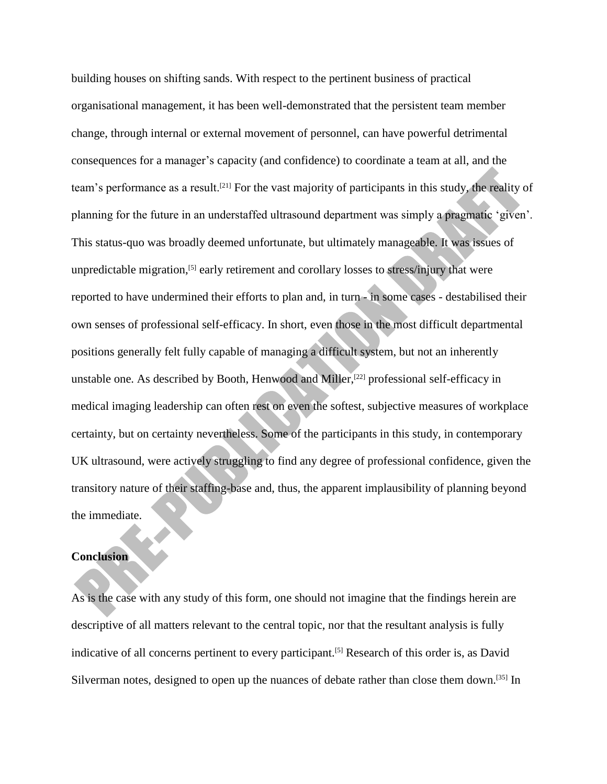building houses on shifting sands. With respect to the pertinent business of practical organisational management, it has been well-demonstrated that the persistent team member change, through internal or external movement of personnel, can have powerful detrimental consequences for a manager's capacity (and confidence) to coordinate a team at all, and the team's performance as a result.[21] For the vast majority of participants in this study, the reality of planning for the future in an understaffed ultrasound department was simply a pragmatic 'given'. This status-quo was broadly deemed unfortunate, but ultimately manageable. It was issues of unpredictable migration, [5] early retirement and corollary losses to stress/injury that were reported to have undermined their efforts to plan and, in turn - in some cases - destabilised their own senses of professional self-efficacy. In short, even those in the most difficult departmental positions generally felt fully capable of managing a difficult system, but not an inherently unstable one. As described by Booth, Henwood and Miller,<sup>[22]</sup> professional self-efficacy in medical imaging leadership can often rest on even the softest, subjective measures of workplace certainty, but on certainty nevertheless. Some of the participants in this study, in contemporary UK ultrasound, were actively struggling to find any degree of professional confidence, given the transitory nature of their staffing-base and, thus, the apparent implausibility of planning beyond the immediate.

# **Conclusion**

As is the case with any study of this form, one should not imagine that the findings herein are descriptive of all matters relevant to the central topic, nor that the resultant analysis is fully indicative of all concerns pertinent to every participant.<sup>[5]</sup> Research of this order is, as David Silverman notes, designed to open up the nuances of debate rather than close them down.<sup>[35]</sup> In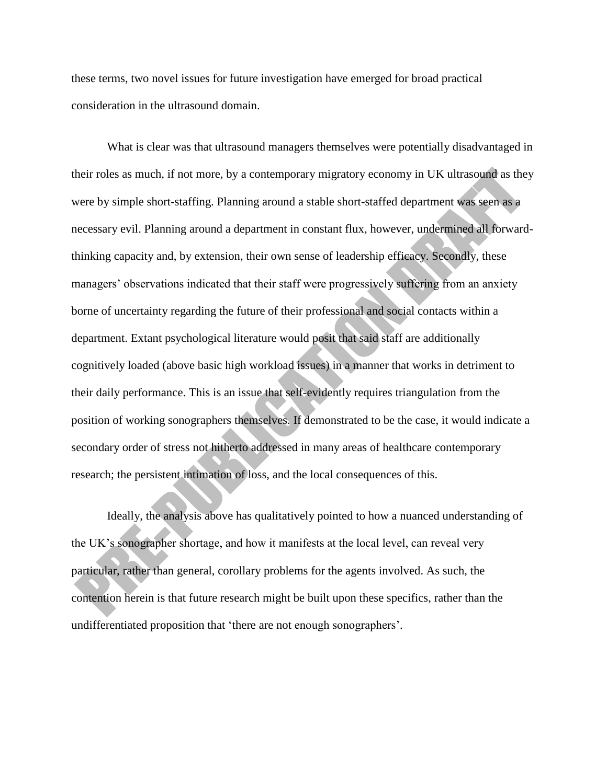these terms, two novel issues for future investigation have emerged for broad practical consideration in the ultrasound domain.

What is clear was that ultrasound managers themselves were potentially disadvantaged in their roles as much, if not more, by a contemporary migratory economy in UK ultrasound as they were by simple short-staffing. Planning around a stable short-staffed department was seen as a necessary evil. Planning around a department in constant flux, however, undermined all forwardthinking capacity and, by extension, their own sense of leadership efficacy. Secondly, these managers' observations indicated that their staff were progressively suffering from an anxiety borne of uncertainty regarding the future of their professional and social contacts within a department. Extant psychological literature would posit that said staff are additionally cognitively loaded (above basic high workload issues) in a manner that works in detriment to their daily performance. This is an issue that self-evidently requires triangulation from the position of working sonographers themselves. If demonstrated to be the case, it would indicate a secondary order of stress not hitherto addressed in many areas of healthcare contemporary research; the persistent intimation of loss, and the local consequences of this.

Ideally, the analysis above has qualitatively pointed to how a nuanced understanding of the UK's sonographer shortage, and how it manifests at the local level, can reveal very particular, rather than general, corollary problems for the agents involved. As such, the contention herein is that future research might be built upon these specifics, rather than the undifferentiated proposition that 'there are not enough sonographers'.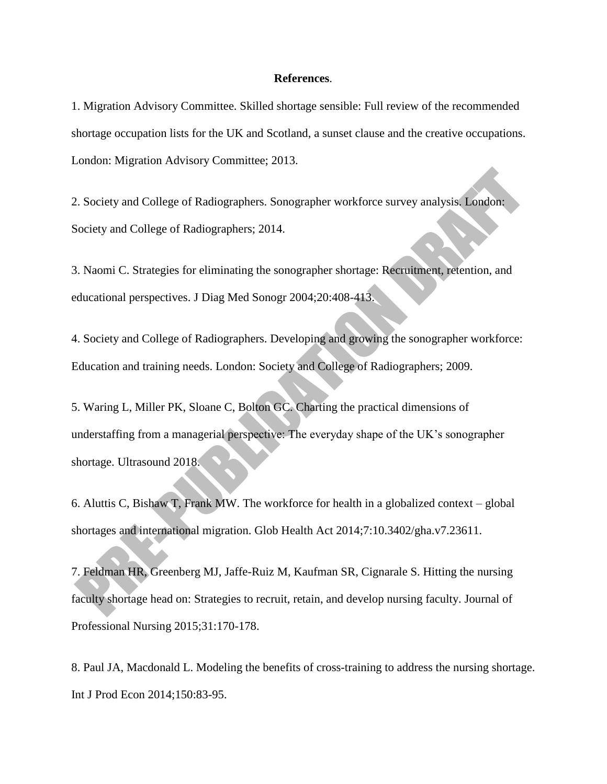#### **References**.

1. Migration Advisory Committee. Skilled shortage sensible: Full review of the recommended shortage occupation lists for the UK and Scotland, a sunset clause and the creative occupations. London: Migration Advisory Committee; 2013.

2. Society and College of Radiographers. Sonographer workforce survey analysis. London: Society and College of Radiographers; 2014.

3. Naomi C. Strategies for eliminating the sonographer shortage: Recruitment, retention, and educational perspectives. J Diag Med Sonogr 2004;20:408-413.

4. Society and College of Radiographers. Developing and growing the sonographer workforce: Education and training needs. London: Society and College of Radiographers; 2009.

5. Waring L, Miller PK, Sloane C, Bolton GC. Charting the practical dimensions of understaffing from a managerial perspective: The everyday shape of the UK's sonographer shortage. Ultrasound 2018.

6. Aluttis C, Bishaw T, Frank MW. The workforce for health in a globalized context – global shortages and international migration. Glob Health Act 2014;7:10.3402/gha.v7.23611.

7. Feldman HR, Greenberg MJ, Jaffe-Ruiz M, Kaufman SR, Cignarale S. Hitting the nursing faculty shortage head on: Strategies to recruit, retain, and develop nursing faculty. Journal of Professional Nursing 2015;31:170-178.

8. Paul JA, Macdonald L. Modeling the benefits of cross-training to address the nursing shortage. Int J Prod Econ 2014;150:83-95.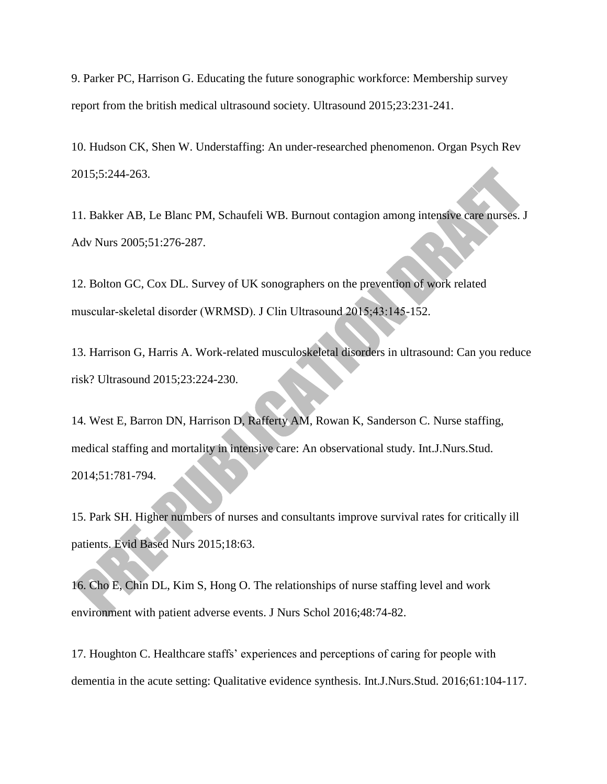9. Parker PC, Harrison G. Educating the future sonographic workforce: Membership survey report from the british medical ultrasound society. Ultrasound 2015;23:231-241.

10. Hudson CK, Shen W. Understaffing: An under-researched phenomenon. Organ Psych Rev 2015;5:244-263.

11. Bakker AB, Le Blanc PM, Schaufeli WB. Burnout contagion among intensive care nurses. J Adv Nurs 2005;51:276-287.

12. Bolton GC, Cox DL. Survey of UK sonographers on the prevention of work related muscular‐skeletal disorder (WRMSD). J Clin Ultrasound 2015;43:145-152.

13. Harrison G, Harris A. Work-related musculoskeletal disorders in ultrasound: Can you reduce risk? Ultrasound 2015;23:224-230.

14. West E, Barron DN, Harrison D, Rafferty AM, Rowan K, Sanderson C. Nurse staffing, medical staffing and mortality in intensive care: An observational study. Int.J.Nurs.Stud. 2014;51:781-794.

15. Park SH. Higher numbers of nurses and consultants improve survival rates for critically ill patients. Evid Based Nurs 2015;18:63.

16. Cho E, Chin DL, Kim S, Hong O. The relationships of nurse staffing level and work environment with patient adverse events. J Nurs Schol 2016;48:74-82.

17. Houghton C. Healthcare staffs' experiences and perceptions of caring for people with dementia in the acute setting: Qualitative evidence synthesis. Int.J.Nurs.Stud. 2016;61:104-117.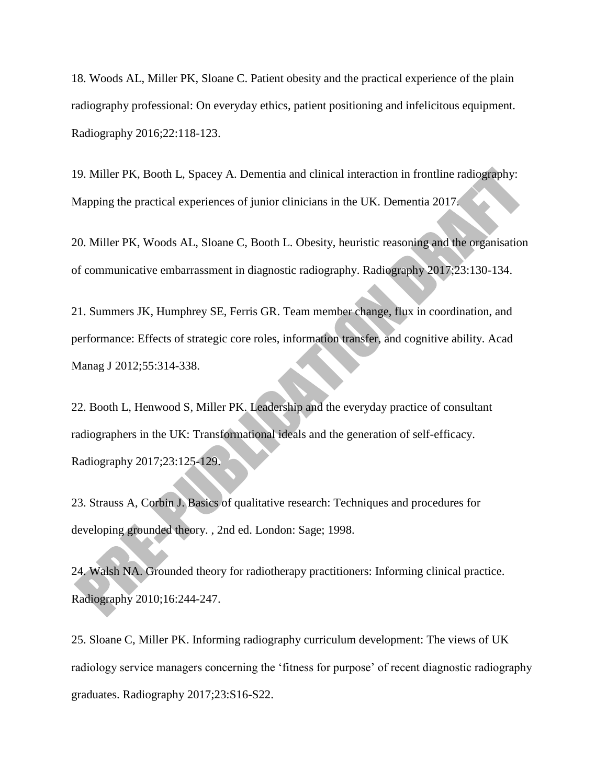18. Woods AL, Miller PK, Sloane C. Patient obesity and the practical experience of the plain radiography professional: On everyday ethics, patient positioning and infelicitous equipment. Radiography 2016;22:118-123.

19. Miller PK, Booth L, Spacey A. Dementia and clinical interaction in frontline radiography: Mapping the practical experiences of junior clinicians in the UK. Dementia 2017.

20. Miller PK, Woods AL, Sloane C, Booth L. Obesity, heuristic reasoning and the organisation of communicative embarrassment in diagnostic radiography. Radiography 2017;23:130-134.

21. Summers JK, Humphrey SE, Ferris GR. Team member change, flux in coordination, and performance: Effects of strategic core roles, information transfer, and cognitive ability. Acad Manag J 2012;55:314-338.

22. Booth L, Henwood S, Miller PK. Leadership and the everyday practice of consultant radiographers in the UK: Transformational ideals and the generation of self-efficacy. Radiography 2017;23:125-129.

23. Strauss A, Corbin J. Basics of qualitative research: Techniques and procedures for developing grounded theory. , 2nd ed. London: Sage; 1998.

24. Walsh NA. Grounded theory for radiotherapy practitioners: Informing clinical practice. Radiography 2010;16:244-247.

25. Sloane C, Miller PK. Informing radiography curriculum development: The views of UK radiology service managers concerning the 'fitness for purpose' of recent diagnostic radiography graduates. Radiography 2017;23:S16-S22.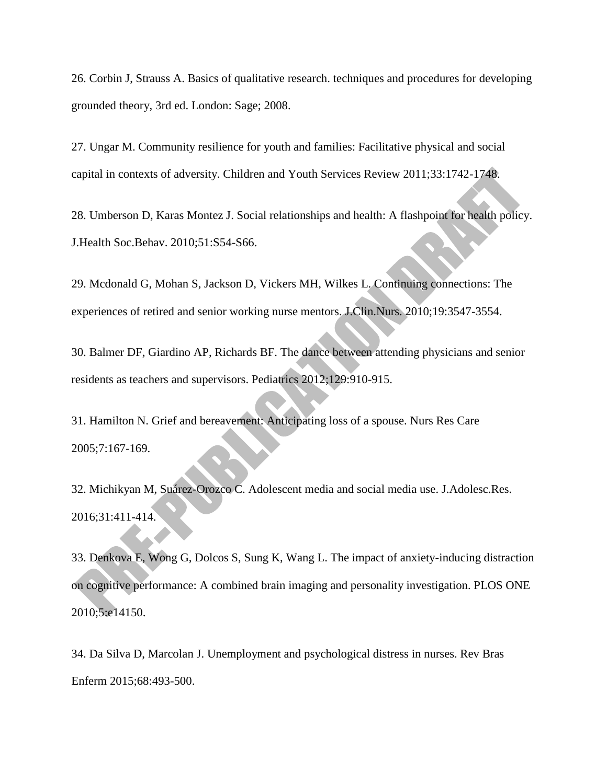26. Corbin J, Strauss A. Basics of qualitative research. techniques and procedures for developing grounded theory, 3rd ed. London: Sage; 2008.

27. Ungar M. Community resilience for youth and families: Facilitative physical and social capital in contexts of adversity. Children and Youth Services Review 2011;33:1742-1748.

28. Umberson D, Karas Montez J. Social relationships and health: A flashpoint for health policy. J.Health Soc.Behav. 2010;51:S54-S66.

29. Mcdonald G, Mohan S, Jackson D, Vickers MH, Wilkes L. Continuing connections: The experiences of retired and senior working nurse mentors. J.Clin.Nurs. 2010;19:3547-3554.

30. Balmer DF, Giardino AP, Richards BF. The dance between attending physicians and senior residents as teachers and supervisors. Pediatrics 2012;129:910-915.

31. Hamilton N. Grief and bereavement: Anticipating loss of a spouse. Nurs Res Care 2005;7:167-169.

32. Michikyan M, Suárez-Orozco C. Adolescent media and social media use. J.Adolesc.Res. 2016;31:411-414.

33. Denkova E, Wong G, Dolcos S, Sung K, Wang L. The impact of anxiety-inducing distraction on cognitive performance: A combined brain imaging and personality investigation. PLOS ONE 2010;5:e14150.

34. Da Silva D, Marcolan J. Unemployment and psychological distress in nurses. Rev Bras Enferm 2015;68:493-500.